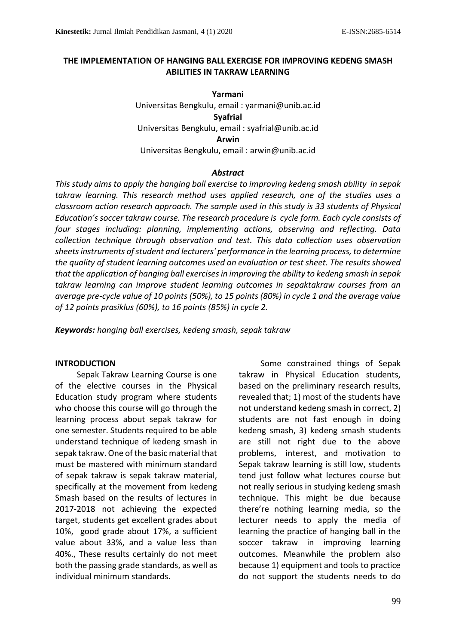## **THE IMPLEMENTATION OF HANGING BALL EXERCISE FOR IMPROVING KEDENG SMASH ABILITIES IN TAKRAW LEARNING**

**Yarmani** Universitas Bengkulu, email : yarmani@unib.ac.id **Syafrial** Universitas Bengkulu, email : syafrial@unib.ac.id **Arwin** Universitas Bengkulu, email : arwin@unib.ac.id

## *Abstract*

*This study aims to apply the hanging ball exercise to improving kedeng smash ability in sepak takraw learning. This research method uses applied research, one of the studies uses a classroom action research approach. The sample used in this study is 33 students of Physical Education's soccer takraw course. The research procedure is cycle form. Each cycle consists of four stages including: planning, implementing actions, observing and reflecting. Data collection technique through observation and test. This data collection uses observation sheets instruments of student and lecturers' performance in the learning process, to determine the quality of student learning outcomes used an evaluation or test sheet. The results showed that the application of hanging ball exercises in improving the ability to kedeng smash in sepak takraw learning can improve student learning outcomes in sepaktakraw courses from an average pre-cycle value of 10 points (50%), to 15 points (80%) in cycle 1 and the average value of 12 points prasiklus (60%), to 16 points (85%) in cycle 2.*

*Keywords: hanging ball exercises, kedeng smash, sepak takraw*

## **INTRODUCTION**

Sepak Takraw Learning Course is one of the elective courses in the Physical Education study program where students who choose this course will go through the learning process about sepak takraw for one semester. Students required to be able understand technique of kedeng smash in sepak takraw. One of the basic material that must be mastered with minimum standard of sepak takraw is sepak takraw material, specifically at the movement from kedeng Smash based on the results of lectures in 2017-2018 not achieving the expected target, students get excellent grades about 10%, good grade about 17%, a sufficient value about 33%, and a value less than 40%., These results certainly do not meet both the passing grade standards, as well as individual minimum standards.

Some constrained things of Sepak takraw in Physical Education students, based on the preliminary research results, revealed that; 1) most of the students have not understand kedeng smash in correct, 2) students are not fast enough in doing kedeng smash, 3) kedeng smash students are still not right due to the above problems, interest, and motivation to Sepak takraw learning is still low, students tend just follow what lectures course but not really serious in studying kedeng smash technique. This might be due because there're nothing learning media, so the lecturer needs to apply the media of learning the practice of hanging ball in the soccer takraw in improving learning outcomes. Meanwhile the problem also because 1) equipment and tools to practice do not support the students needs to do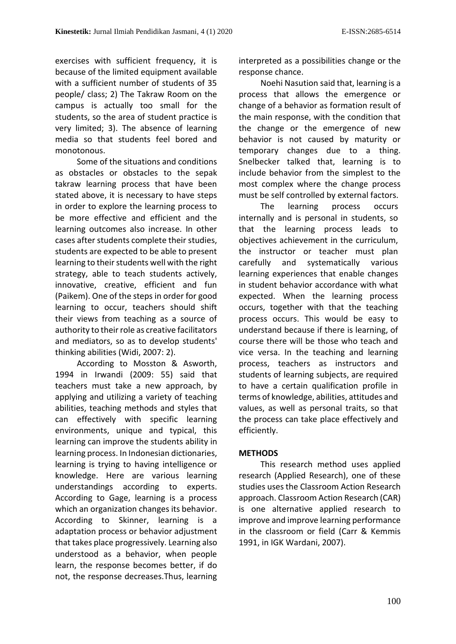exercises with sufficient frequency, it is because of the limited equipment available with a sufficient number of students of 35 people/ class; 2) The Takraw Room on the campus is actually too small for the students, so the area of student practice is very limited; 3). The absence of learning media so that students feel bored and monotonous.

Some of the situations and conditions as obstacles or obstacles to the sepak takraw learning process that have been stated above, it is necessary to have steps in order to explore the learning process to be more effective and efficient and the learning outcomes also increase. In other cases after students complete their studies, students are expected to be able to present learning to their students well with the right strategy, able to teach students actively, innovative, creative, efficient and fun (Paikem). One of the steps in order for good learning to occur, teachers should shift their views from teaching as a source of authority to their role as creative facilitators and mediators, so as to develop students' thinking abilities (Widi, 2007: 2).

According to Mosston & Asworth, 1994 in Irwandi (2009: 55) said that teachers must take a new approach, by applying and utilizing a variety of teaching abilities, teaching methods and styles that can effectively with specific learning environments, unique and typical, this learning can improve the students ability in learning process. In Indonesian dictionaries, learning is trying to having intelligence or knowledge. Here are various learning understandings according to experts. According to Gage, learning is a process which an organization changes its behavior. According to Skinner, learning is a adaptation process or behavior adjustment that takes place progressively. Learning also understood as a behavior, when people learn, the response becomes better, if do not, the response decreases.Thus, learning

interpreted as a possibilities change or the response chance.

Noehi Nasution said that, learning is a process that allows the emergence or change of a behavior as formation result of the main response, with the condition that the change or the emergence of new behavior is not caused by maturity or temporary changes due to a thing. Snelbecker talked that, learning is to include behavior from the simplest to the most complex where the change process must be self controlled by external factors.

The learning process occurs internally and is personal in students, so that the learning process leads to objectives achievement in the curriculum, the instructor or teacher must plan carefully and systematically various learning experiences that enable changes in student behavior accordance with what expected. When the learning process occurs, together with that the teaching process occurs. This would be easy to understand because if there is learning, of course there will be those who teach and vice versa. In the teaching and learning process, teachers as instructors and students of learning subjects, are required to have a certain qualification profile in terms of knowledge, abilities, attitudes and values, as well as personal traits, so that the process can take place effectively and efficiently.

## **METHODS**

This research method uses applied research (Applied Research), one of these studies uses the Classroom Action Research approach. Classroom Action Research (CAR) is one alternative applied research to improve and improve learning performance in the classroom or field (Carr & Kemmis 1991, in IGK Wardani, 2007).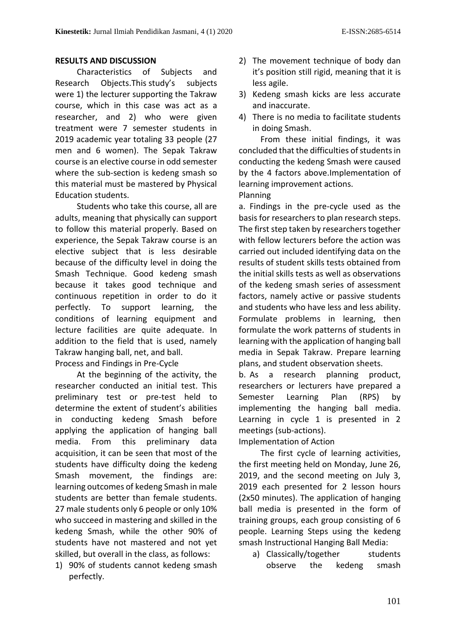## **RESULTS AND DISCUSSION**

Characteristics of Subjects and Research Objects.This study's subjects were 1) the lecturer supporting the Takraw course, which in this case was act as a researcher, and 2) who were given treatment were 7 semester students in 2019 academic year totaling 33 people (27 men and 6 women). The Sepak Takraw course is an elective course in odd semester where the sub-section is kedeng smash so this material must be mastered by Physical Education students.

Students who take this course, all are adults, meaning that physically can support to follow this material properly. Based on experience, the Sepak Takraw course is an elective subject that is less desirable because of the difficulty level in doing the Smash Technique. Good kedeng smash because it takes good technique and continuous repetition in order to do it perfectly. To support learning, the conditions of learning equipment and lecture facilities are quite adequate. In addition to the field that is used, namely Takraw hanging ball, net, and ball.

#### Process and Findings in Pre-Cycle

At the beginning of the activity, the researcher conducted an initial test. This preliminary test or pre-test held to determine the extent of student's abilities in conducting kedeng Smash before applying the application of hanging ball media. From this preliminary data acquisition, it can be seen that most of the students have difficulty doing the kedeng Smash movement, the findings are: learning outcomes of kedeng Smash in male students are better than female students. 27 male students only 6 people or only 10% who succeed in mastering and skilled in the kedeng Smash, while the other 90% of students have not mastered and not yet skilled, but overall in the class, as follows:

1) 90% of students cannot kedeng smash perfectly.

- 2) The movement technique of body dan it's position still rigid, meaning that it is less agile.
- 3) Kedeng smash kicks are less accurate and inaccurate.
- 4) There is no media to facilitate students in doing Smash.

From these initial findings, it was concluded that the difficulties of students in conducting the kedeng Smash were caused by the 4 factors above.Implementation of learning improvement actions.

#### Planning

a. Findings in the pre-cycle used as the basis for researchers to plan research steps. The first step taken by researchers together with fellow lecturers before the action was carried out included identifying data on the results of student skills tests obtained from the initial skills tests as well as observations of the kedeng smash series of assessment factors, namely active or passive students and students who have less and less ability. Formulate problems in learning, then formulate the work patterns of students in learning with the application of hanging ball media in Sepak Takraw. Prepare learning plans, and student observation sheets.

b. As a research planning product, researchers or lecturers have prepared a Semester Learning Plan (RPS) by implementing the hanging ball media. Learning in cycle 1 is presented in 2 meetings (sub-actions).

Implementation of Action

The first cycle of learning activities, the first meeting held on Monday, June 26, 2019, and the second meeting on July 3, 2019 each presented for 2 lesson hours (2x50 minutes). The application of hanging ball media is presented in the form of training groups, each group consisting of 6 people. Learning Steps using the kedeng smash Instructional Hanging Ball Media:

a) Classically/together students observe the kedeng smash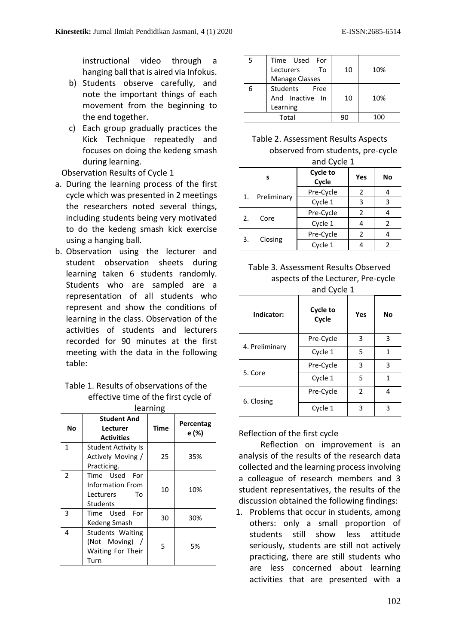instructional video through a hanging ball that is aired via Infokus.

- b) Students observe carefully, and note the important things of each movement from the beginning to the end together.
- c) Each group gradually practices the Kick Technique repeatedly and focuses on doing the kedeng smash during learning.

Observation Results of Cycle 1

- a. During the learning process of the first cycle which was presented in 2 meetings the researchers noted several things, including students being very motivated to do the kedeng smash kick exercise using a hanging ball.
- b. Observation using the lecturer and student observation sheets during learning taken 6 students randomly. Students who are sampled are a representation of all students who represent and show the conditions of learning in the class. Observation of the activities of students and lecturers recorded for 90 minutes at the first meeting with the data in the following table:

| Table 1. Results of observations of the |
|-----------------------------------------|
| effective time of the first cycle of    |
| الممائمين مما                           |

|               | iearning                                                                   |      |                    |  |
|---------------|----------------------------------------------------------------------------|------|--------------------|--|
| Νo            | <b>Student And</b><br>Lecturer<br><b>Activities</b>                        | Time | Percentag<br>e (%) |  |
| $\mathbf{1}$  | <b>Student Activity Is</b><br>Actively Moving /<br>Practicing.             | 25   | 35%                |  |
| $\mathcal{P}$ | Time Used<br>For<br><b>Information From</b><br>Lecturers<br>To<br>Students | 10   | 10%                |  |
| 3             | Time Used For<br>Kedeng Smash                                              | 30   | 30%                |  |
| 4             | Students Waiting<br>(Not Moving) /<br>Waiting For Their<br>Turn            | 5    | 5%                 |  |

|       | Time Used For         |    |     |
|-------|-----------------------|----|-----|
|       | To<br>Lecturers       | 10 | 10% |
|       | <b>Manage Classes</b> |    |     |
|       | Students Free         |    |     |
|       | And Inactive In       | 10 | 10% |
|       | Learning              |    |     |
| Total |                       | 90 |     |

Table 2. Assessment Results Aspects observed from students, pre-cycle

and Cycle 1

|    | 0.1002101   |                   |     |    |
|----|-------------|-------------------|-----|----|
| s  |             | Cycle to<br>Cycle | Yes | No |
|    |             | Pre-Cycle         | 2   |    |
| 1. | Preliminary | Cycle 1           | 3   | 3  |
|    |             | Pre-Cycle         | 2   |    |
| 2. | Core        | Cycle 1           |     | 2  |
|    |             | Pre-Cycle         | 2   |    |
| 3. | Closing     | Cycle 1           |     | 2  |

| Table 3. Assessment Results Observed |
|--------------------------------------|
| aspects of the Lecturer, Pre-cycle   |
| and Cycle 1                          |

| Indicator:     | Cycle to<br>Cycle | Yes | No |
|----------------|-------------------|-----|----|
| 4. Preliminary | Pre-Cycle         | 3   | 3  |
|                | Cycle 1           | 5   | 1  |
|                | Pre-Cycle         | 3   | 3  |
| 5. Core        | Cycle 1           | 5   | 1  |
| 6. Closing     | Pre-Cycle         | 2   | 4  |
|                | Cycle 1           | 3   | ς  |

Reflection of the first cycle

Reflection on improvement is an analysis of the results of the research data collected and the learning process involving a colleague of research members and 3 student representatives, the results of the discussion obtained the following findings:

1. Problems that occur in students, among others: only a small proportion of students still show less attitude seriously, students are still not actively practicing, there are still students who are less concerned about learning activities that are presented with a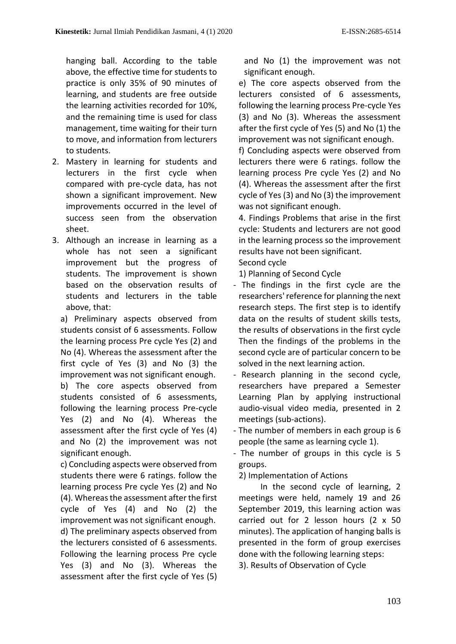hanging ball. According to the table above, the effective time for students to practice is only 35% of 90 minutes of learning, and students are free outside the learning activities recorded for 10%, and the remaining time is used for class management, time waiting for their turn to move, and information from lecturers to students.

- 2. Mastery in learning for students and lecturers in the first cycle when compared with pre-cycle data, has not shown a significant improvement. New improvements occurred in the level of success seen from the observation sheet.
- 3. Although an increase in learning as a whole has not seen a significant improvement but the progress of students. The improvement is shown based on the observation results of students and lecturers in the table above, that:

a) Preliminary aspects observed from students consist of 6 assessments. Follow the learning process Pre cycle Yes (2) and No (4). Whereas the assessment after the first cycle of Yes (3) and No (3) the improvement was not significant enough. b) The core aspects observed from students consisted of 6 assessments, following the learning process Pre-cycle Yes (2) and No (4). Whereas the assessment after the first cycle of Yes (4) and No (2) the improvement was not significant enough.

c) Concluding aspects were observed from students there were 6 ratings. follow the learning process Pre cycle Yes (2) and No (4). Whereas the assessment after the first cycle of Yes (4) and No (2) the improvement was not significant enough. d) The preliminary aspects observed from the lecturers consisted of 6 assessments. Following the learning process Pre cycle Yes (3) and No (3). Whereas the assessment after the first cycle of Yes (5) and No (1) the improvement was not significant enough.

e) The core aspects observed from the lecturers consisted of 6 assessments, following the learning process Pre-cycle Yes (3) and No (3). Whereas the assessment after the first cycle of Yes (5) and No (1) the improvement was not significant enough.

f) Concluding aspects were observed from lecturers there were 6 ratings. follow the learning process Pre cycle Yes (2) and No (4). Whereas the assessment after the first cycle of Yes (3) and No (3) the improvement was not significant enough.

4. Findings Problems that arise in the first cycle: Students and lecturers are not good in the learning process so the improvement results have not been significant.

Second cycle

1) Planning of Second Cycle

- The findings in the first cycle are the researchers' reference for planning the next research steps. The first step is to identify data on the results of student skills tests, the results of observations in the first cycle Then the findings of the problems in the second cycle are of particular concern to be solved in the next learning action.
- Research planning in the second cycle, researchers have prepared a Semester Learning Plan by applying instructional audio-visual video media, presented in 2 meetings (sub-actions).
- The number of members in each group is 6 people (the same as learning cycle 1).
- The number of groups in this cycle is 5 groups.

2) Implementation of Actions

In the second cycle of learning, 2 meetings were held, namely 19 and 26 September 2019, this learning action was carried out for 2 lesson hours (2 x 50 minutes). The application of hanging balls is presented in the form of group exercises done with the following learning steps:

3). Results of Observation of Cycle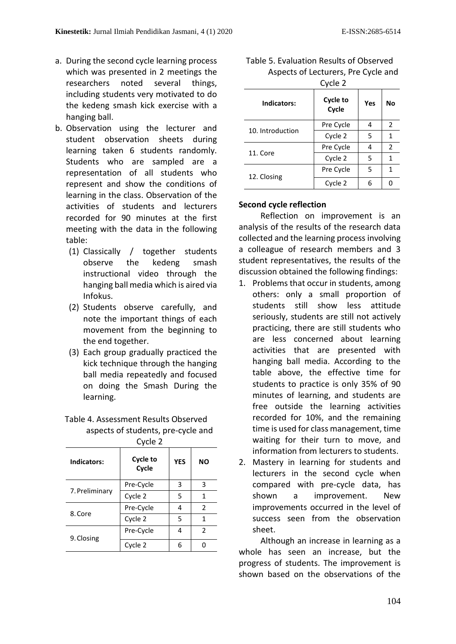- a. During the second cycle learning process which was presented in 2 meetings the researchers noted several things, including students very motivated to do the kedeng smash kick exercise with a hanging ball.
- b. Observation using the lecturer and student observation sheets during learning taken 6 students randomly. Students who are sampled are a representation of all students who represent and show the conditions of learning in the class. Observation of the activities of students and lecturers recorded for 90 minutes at the first meeting with the data in the following table:
	- (1) Classically / together students observe the kedeng smash instructional video through the hanging ball media which is aired via Infokus.
	- (2) Students observe carefully, and note the important things of each movement from the beginning to the end together.
	- (3) Each group gradually practiced the kick technique through the hanging ball media repeatedly and focused on doing the Smash During the learning.
	- Table 4. Assessment Results Observed aspects of students, pre-cycle and

| Indicators:    | Cycle 2<br>Cycle to<br><b>YES</b> |   | ΝO            |
|----------------|-----------------------------------|---|---------------|
|                | Cycle                             |   |               |
|                | Pre-Cycle                         | 3 | 3             |
| 7. Preliminary | Cycle 2                           | 5 | 1             |
| 8. Core        | Pre-Cycle                         | 4 | $\mathcal{P}$ |
|                | Cycle 2                           | 5 | 1             |
| 9. Closing     | Pre-Cycle                         | 4 | $\mathcal{P}$ |
|                | Cycle 2                           | 6 |               |

| UVUE Z           |                          |     |                |
|------------------|--------------------------|-----|----------------|
| Indicators:      | <b>Cycle to</b><br>Cycle | Yes | No             |
|                  | Pre Cycle                | 4   | $\overline{2}$ |
| 10. Introduction | Cycle 2                  | 5   | 1              |
|                  | Pre Cycle                | 4   | $\overline{2}$ |
| 11. Core         | Cycle 2                  | 5   | 1              |
| 12. Closing      | Pre Cycle                | 5   | 1              |
|                  | Cycle 2                  | 6   |                |

| Table 5. Evaluation Results of Observed |
|-----------------------------------------|
| Aspects of Lecturers, Pre Cycle and     |
| Curla 2                                 |

# **Second cycle reflection**

Reflection on improvement is an analysis of the results of the research data collected and the learning process involving a colleague of research members and 3 student representatives, the results of the discussion obtained the following findings:

- 1. Problems that occur in students, among others: only a small proportion of students still show less attitude seriously, students are still not actively practicing, there are still students who are less concerned about learning activities that are presented with hanging ball media. According to the table above, the effective time for students to practice is only 35% of 90 minutes of learning, and students are free outside the learning activities recorded for 10%, and the remaining time is used for class management, time waiting for their turn to move, and information from lecturers to students.
- 2. Mastery in learning for students and lecturers in the second cycle when compared with pre-cycle data, has shown a improvement. New improvements occurred in the level of success seen from the observation sheet.

Although an increase in learning as a whole has seen an increase, but the progress of students. The improvement is shown based on the observations of the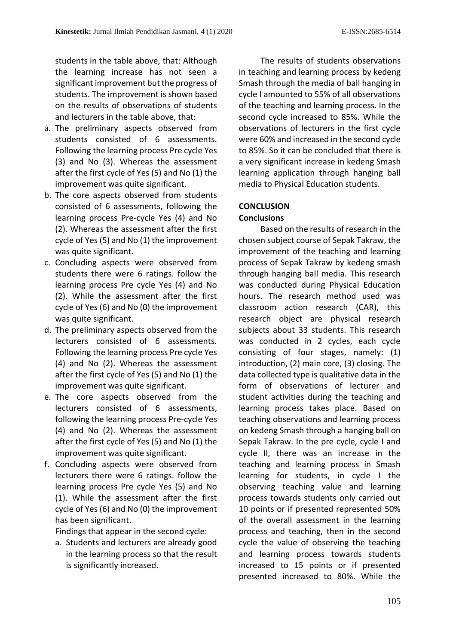students in the table above, that: Although the learning increase has not seen a significant improvement but the progress of students. The improvement is shown based on the results of observations of students and lecturers in the table above, that:

- a. The preliminary aspects observed from students consisted of 6 assessments. Following the learning process Pre cycle Yes (3) and No (3). Whereas the assessment after the first cycle of Yes (5) and No (1) the improvement was quite significant.
- b. The core aspects observed from students consisted of 6 assessments, following the learning process Pre-cycle Yes (4) and No (2). Whereas the assessment after the first cycle of Yes (5) and No (1) the improvement was quite significant.
- c. Concluding aspects were observed from students there were 6 ratings. follow the learning process Pre cycle Yes (4) and No (2). While the assessment after the first cycle of Yes (6) and No (0) the improvement was quite significant.
- d. The preliminary aspects observed from the lecturers consisted of 6 assessments. Following the learning process Pre cycle Yes (4) and No (2). Whereas the assessment after the first cycle of Yes (5) and No (1) the improvement was quite significant.
- e. The core aspects observed from the lecturers consisted of 6 assessments, following the learning process Pre-cycle Yes (4) and No (2). Whereas the assessment after the first cycle of Yes (5) and No (1) the improvement was quite significant.
- f. Concluding aspects were observed from lecturers there were 6 ratings. follow the learning process Pre cycle Yes (5) and No (1). While the assessment after the first cycle of Yes (6) and No (0) the improvement has been significant.

Findings that appear in the second cycle:

a. Students and lecturers are already good in the learning process so that the result is significantly increased.

The results of students observations in teaching and learning process by kedeng Smash through the media of ball hanging in cycle I amounted to 55% of all observations of the teaching and learning process. In the second cycle increased to 85%. While the observations of lecturers in the first cycle were 60% and increased in the second cycle to 85%. So it can be concluded that there is a very significant increase in kedeng Smash learning application through hanging ball media to Physical Education students.

# **CONCLUSION**

## **Conclusions**

Based on the results of research in the chosen subject course of Sepak Takraw, the improvement of the teaching and learning process of Sepak Takraw by kedeng smash through hanging ball media. This research was conducted during Physical Education hours. The research method used was classroom action research (CAR), this research object are physical research subjects about 33 students. This research was conducted in 2 cycles, each cycle consisting of four stages, namely: (1) introduction, (2) main core, (3) closing. The data collected type is qualitative data in the form of observations of lecturer and student activities during the teaching and learning process takes place. Based on teaching observations and learning process on kedeng Smash through a hanging ball on Sepak Takraw. In the pre cycle, cycle I and cycle II, there was an increase in the teaching and learning process in Smash learning for students, in cycle I the observing teaching value and learning process towards students only carried out 10 points or if presented represented 50% of the overall assessment in the learning process and teaching, then in the second cycle the value of observing the teaching and learning process towards students increased to 15 points or if presented presented increased to 80%. While the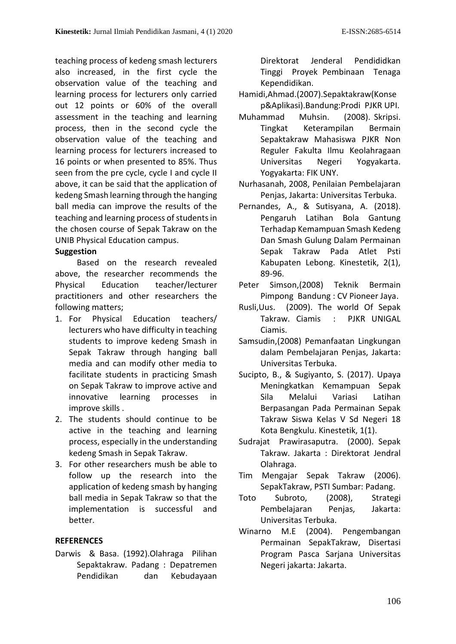teaching process of kedeng smash lecturers also increased, in the first cycle the observation value of the teaching and learning process for lecturers only carried out 12 points or 60% of the overall assessment in the teaching and learning process, then in the second cycle the observation value of the teaching and learning process for lecturers increased to 16 points or when presented to 85%. Thus seen from the pre cycle, cycle I and cycle II above, it can be said that the application of kedeng Smash learning through the hanging ball media can improve the results of the teaching and learning process of students in the chosen course of Sepak Takraw on the UNIB Physical Education campus.

# **Suggestion**

Based on the research revealed above, the researcher recommends the Physical Education teacher/lecturer practitioners and other researchers the following matters;

- 1. For Physical Education teachers/ lecturers who have difficulty in teaching students to improve kedeng Smash in Sepak Takraw through hanging ball media and can modify other media to facilitate students in practicing Smash on Sepak Takraw to improve active and innovative learning processes in improve skills .
- 2. The students should continue to be active in the teaching and learning process, especially in the understanding kedeng Smash in Sepak Takraw.
- 3. For other researchers mush be able to follow up the research into the application of kedeng smash by hanging ball media in Sepak Takraw so that the implementation is successful and better.

# **REFERENCES**

Darwis & Basa. (1992).Olahraga Pilihan Sepaktakraw. Padang : Depatremen Pendidikan dan Kebudayaan

Direktorat Jenderal Pendididkan Tinggi Proyek Pembinaan Tenaga Kependidikan.

- Hamidi,Ahmad.(2007).Sepaktakraw(Konse p&Aplikasi).Bandung:Prodi PJKR UPI.
- Muhammad Muhsin. (2008). Skripsi. Tingkat Keterampilan Bermain Sepaktakraw Mahasiswa PJKR Non Reguler Fakulta Ilmu Keolahragaan Universitas Negeri Yogyakarta. Yogyakarta: FIK UNY.
- Nurhasanah, 2008, Penilaian Pembelajaran Penjas, Jakarta: Universitas Terbuka.
- Pernandes, A., & Sutisyana, A. (2018). Pengaruh Latihan Bola Gantung Terhadap Kemampuan Smash Kedeng Dan Smash Gulung Dalam Permainan Sepak Takraw Pada Atlet Psti Kabupaten Lebong. Kinestetik, 2(1), 89-96.
- Peter Simson,(2008) Teknik Bermain Pimpong Bandung : CV Pioneer Jaya.
- Rusli,Uus. (2009). The world Of Sepak Takraw. Ciamis : PJKR UNIGAL Ciamis.
- Samsudin,(2008) Pemanfaatan Lingkungan dalam Pembelajaran Penjas, Jakarta: Universitas Terbuka.
- Sucipto, B., & Sugiyanto, S. (2017). Upaya Meningkatkan Kemampuan Sepak Sila Melalui Variasi Latihan Berpasangan Pada Permainan Sepak Takraw Siswa Kelas V Sd Negeri 18 Kota Bengkulu. Kinestetik, 1(1).
- Sudrajat Prawirasaputra. (2000). Sepak Takraw. Jakarta : Direktorat Jendral Olahraga.
- Tim Mengajar Sepak Takraw (2006). SepakTakraw, PSTI Sumbar: Padang.
- Toto Subroto, (2008), Strategi Pembelajaran Penjas, Jakarta: Universitas Terbuka.
- Winarno M.E (2004). Pengembangan Permainan SepakTakraw, Disertasi Program Pasca Sarjana Universitas Negeri jakarta: Jakarta.